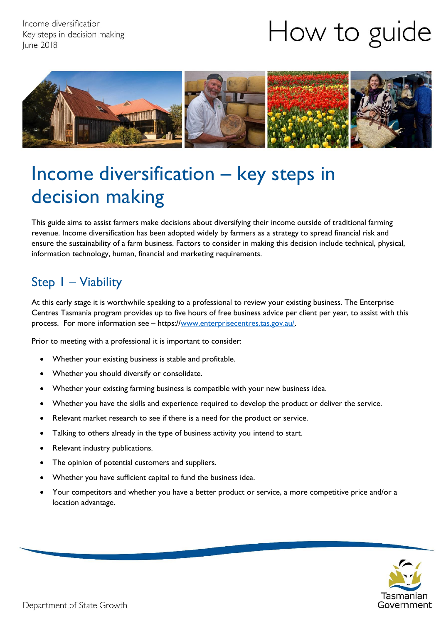Income diversification Key steps in decision making **June 2018** 

# How to guide



## Income diversification – key steps in decision making

This guide aims to assist farmers make decisions about diversifying their income outside of traditional farming revenue. Income diversification has been adopted widely by farmers as a strategy to spread financial risk and ensure the sustainability of a farm business. Factors to consider in making this decision include technical, physical, information technology, human, financial and marketing requirements.

#### Step 1 – Viability

At this early stage it is worthwhile speaking to a professional to review your existing business. The Enterprise Centres Tasmania program provides up to five hours of free business advice per client per year, to assist with this process. For more information see – https:/[/www.enterprisecentres.tas.gov.au/.](http://www.enterprisecentres.tas.gov.au/)

Prior to meeting with a professional it is important to consider:

- Whether your existing business is stable and profitable.
- Whether you should diversify or consolidate.
- Whether your existing farming business is compatible with your new business idea.
- Whether you have the skills and experience required to develop the product or deliver the service.
- Relevant market research to see if there is a need for the product or service.
- Talking to others already in the type of business activity you intend to start.
- Relevant industry publications.
- The opinion of potential customers and suppliers.
- Whether you have sufficient capital to fund the business idea.
- Your competitors and whether you have a better product or service, a more competitive price and/or a location advantage.

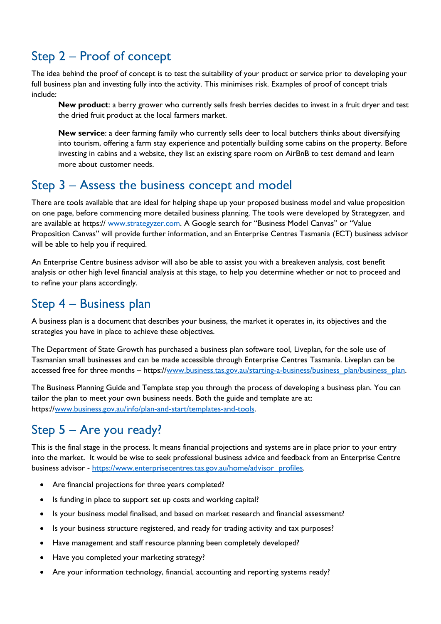### Step 2 – Proof of concept

The idea behind the proof of concept is to test the suitability of your product or service prior to developing your full business plan and investing fully into the activity. This minimises risk. Examples of proof of concept trials include:

**New product**: a berry grower who currently sells fresh berries decides to invest in a fruit dryer and test the dried fruit product at the local farmers market.

**New service**: a deer farming family who currently sells deer to local butchers thinks about diversifying into tourism, offering a farm stay experience and potentially building some cabins on the property. Before investing in cabins and a website, they list an existing spare room on AirBnB to test demand and learn more about customer needs.

#### Step 3 – Assess the business concept and model

There are tools available that are ideal for helping shape up your proposed business model and value proposition on one page, before commencing more detailed business planning. The tools were developed by Strategyzer, and are available at https:// [www.strategyzer.com](http://www.strategyzer.com/). A Google search for "Business Model Canvas" or "Value Proposition Canvas" will provide further information, and an Enterprise Centres Tasmania (ECT) business advisor will be able to help you if required.

An Enterprise Centre business advisor will also be able to assist you with a breakeven analysis, cost benefit analysis or other high level financial analysis at this stage, to help you determine whether or not to proceed and to refine your plans accordingly.

#### Step 4 – Business plan

A business plan is a document that describes your business, the market it operates in, its objectives and the strategies you have in place to achieve these objectives.

The Department of State Growth has purchased a business plan software tool, Liveplan, for the sole use of Tasmanian small businesses and can be made accessible through Enterprise Centres Tasmania. Liveplan can be accessed free for three months – https:/[/www.business.tas.gov.au/starting-a-business/business\\_plan/business\\_plan.](http://www.business.tas.gov.au/starting-a-business/business_plan/business_plan)

The Business Planning Guide and Template step you through the process of developing a business plan. You can tailor the plan to meet your own business needs. Both the guide and template are at: https:/[/www.business.gov.au/info/plan-and-start/templates-and-tools.](http://www.business.gov.au/info/plan-and-start/templates-and-tools)

## Step 5 – Are you ready?

This is the final stage in the process. It means financial projections and systems are in place prior to your entry into the market. It would be wise to seek professional business advice and feedback from an Enterprise Centre business advisor - [https://www.enterprisecentres.tas.gov.au/home/advisor\\_profiles.](https://www.enterprisecentres.tas.gov.au/home/advisor_profiles)

- Are financial projections for three years completed?
- Is funding in place to support set up costs and working capital?
- Is your business model finalised, and based on market research and financial assessment?
- Is your business structure registered, and ready for trading activity and tax purposes?
- Have management and staff resource planning been completely developed?
- Have you completed your marketing strategy?
- Are your information technology, financial, accounting and reporting systems ready?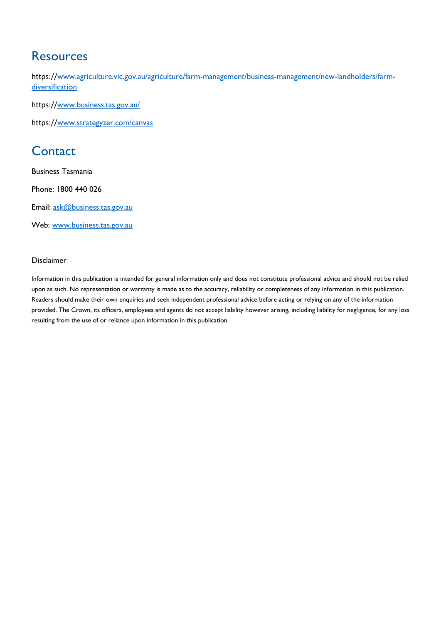#### **Resources**

https://[www.agriculture.vic.gov.au/agriculture/farm-management/business-management/new-landholders/farm](http://www.agriculture.vic.gov.au/agriculture/farm-management/business-management/new-landholders/farm-diversification)[diversification](http://www.agriculture.vic.gov.au/agriculture/farm-management/business-management/new-landholders/farm-diversification)

https://[www.business.tas.gov.au/](http://www.business.tas.gov.au/)

https://[www.strategyzer.com/canvas](http://www.strategyzer.com/canvas)

#### **Contact**

Business Tasmania

Phone: 1800 440 026

Email: [ask@business.tas.gov.au](mailto:ask@business.tas.gov.au)

Web: [www.business.tas.gov.au](http://www.business.tas.gov.au/)

#### Disclaimer

Information in this publication is intended for general information only and does not constitute professional advice and should not be relied upon as such. No representation or warranty is made as to the accuracy, reliability or completeness of any information in this publication. Readers should make their own enquiries and seek independent professional advice before acting or relying on any of the information provided. The Crown, its officers, employees and agents do not accept liability however arising, including liability for negligence, for any loss resulting from the use of or reliance upon information in this publication.